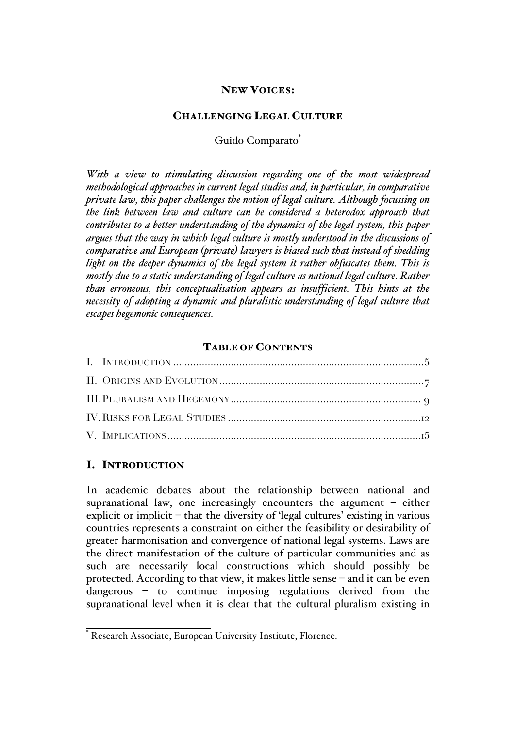# NEW VOICES:

### CHALLENGING LEGAL CULTURE

Guido Comparato<sup>\*</sup>

*With a view to stimulating discussion regarding one of the most widespread methodological approaches in current legal studies and, in particular, in comparative private law, this paper challenges the notion of legal culture. Although focussing on the link between law and culture can be considered a heterodox approach that contributes to a better understanding of the dynamics of the legal system, this paper argues that the way in which legal culture is mostly understood in the discussions of comparative and European (private) lawyers is biased such that instead of shedding light on the deeper dynamics of the legal system it rather obfuscates them. This is mostly due to a static understanding of legal culture as national legal culture. Rather than erroneous, this conceptualisation appears as insufficient. This hints at the necessity of adopting a dynamic and pluralistic understanding of legal culture that escapes hegemonic consequences.*

### TABLE OF CONTENTS

# I. INTRODUCTION

In academic debates about the relationship between national and supranational law, one increasingly encounters the argument – either explicit or implicit – that the diversity of 'legal cultures' existing in various countries represents a constraint on either the feasibility or desirability of greater harmonisation and convergence of national legal systems. Laws are the direct manifestation of the culture of particular communities and as such are necessarily local constructions which should possibly be protected. According to that view, it makes little sense – and it can be even dangerous – to continue imposing regulations derived from the supranational level when it is clear that the cultural pluralism existing in

\* Research Associate, European University Institute, Florence.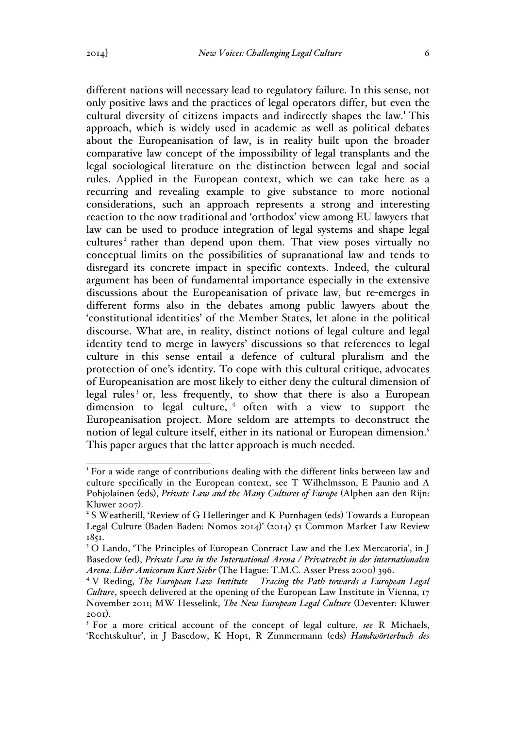different nations will necessary lead to regulatory failure. In this sense, not only positive laws and the practices of legal operators differ, but even the cultural diversity of citizens impacts and indirectly shapes the law.<sup>1</sup> This approach, which is widely used in academic as well as political debates about the Europeanisation of law, is in reality built upon the broader comparative law concept of the impossibility of legal transplants and the legal sociological literature on the distinction between legal and social rules. Applied in the European context, which we can take here as a recurring and revealing example to give substance to more notional considerations, such an approach represents a strong and interesting reaction to the now traditional and 'orthodox' view among EU lawyers that law can be used to produce integration of legal systems and shape legal cultures<sup>2</sup> rather than depend upon them. That view poses virtually no conceptual limits on the possibilities of supranational law and tends to disregard its concrete impact in specific contexts. Indeed, the cultural argument has been of fundamental importance especially in the extensive discussions about the Europeanisation of private law, but re-emerges in different forms also in the debates among public lawyers about the 'constitutional identities' of the Member States, let alone in the political discourse. What are, in reality, distinct notions of legal culture and legal identity tend to merge in lawyers' discussions so that references to legal culture in this sense entail a defence of cultural pluralism and the protection of one's identity. To cope with this cultural critique, advocates of Europeanisation are most likely to either deny the cultural dimension of legal rules<sup>3</sup> or, less frequently, to show that there is also a European dimension to legal culture, <sup>4</sup> often with a view to support the Europeanisation project. More seldom are attempts to deconstruct the notion of legal culture itself, either in its national or European dimension.<sup>5</sup> This paper argues that the latter approach is much needed.

<sup>&</sup>lt;sup>1</sup> For a wide range of contributions dealing with the different links between law and culture specifically in the European context, see T Wilhelmsson, E Paunio and A Pohjolainen (eds), *Private Law and the Many Cultures of Europe* (Alphen aan den Rijn: Kluwer 2007).<br><sup>2</sup> S Weatherill, 'Review of G Helleringer and K Purnhagen (eds) Towards a European

Legal Culture (Baden-Baden: Nomos 2014)' (2014) 51 Common Market Law Review 1851.

<sup>&</sup>lt;sup>3</sup> O Lando, 'The Principles of European Contract Law and the Lex Mercatoria', in J Basedow (ed), *Private Law in the International Arena / Privatrecht in der internationalen Arena. Liber Amicorum Kurt Siehr* (The Hague: T.M.C. Asser Press 2000) 396.

<sup>4</sup> V Reding, *The European Law Institute – Tracing the Path towards a European Legal Culture*, speech delivered at the opening of the European Law Institute in Vienna, 17 November 2011; MW Hesselink, *The New European Legal Culture* (Deventer: Kluwer

<sup>2001</sup>). <sup>5</sup> For a more critical account of the concept of legal culture, *see* R Michaels, 'Rechtskultur', in J Basedow, K Hopt, R Zimmermann (eds) *Handwörterbuch des*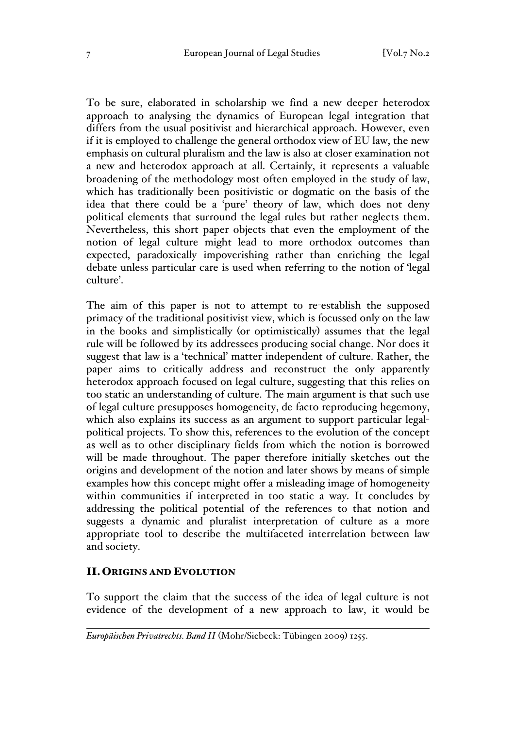To be sure, elaborated in scholarship we find a new deeper heterodox approach to analysing the dynamics of European legal integration that differs from the usual positivist and hierarchical approach. However, even if it is employed to challenge the general orthodox view of EU law, the new emphasis on cultural pluralism and the law is also at closer examination not a new and heterodox approach at all. Certainly, it represents a valuable broadening of the methodology most often employed in the study of law, which has traditionally been positivistic or dogmatic on the basis of the idea that there could be a 'pure' theory of law, which does not deny political elements that surround the legal rules but rather neglects them. Nevertheless, this short paper objects that even the employment of the notion of legal culture might lead to more orthodox outcomes than expected, paradoxically impoverishing rather than enriching the legal debate unless particular care is used when referring to the notion of 'legal culture'.

The aim of this paper is not to attempt to re-establish the supposed primacy of the traditional positivist view, which is focussed only on the law in the books and simplistically (or optimistically) assumes that the legal rule will be followed by its addressees producing social change. Nor does it suggest that law is a 'technical' matter independent of culture. Rather, the paper aims to critically address and reconstruct the only apparently heterodox approach focused on legal culture, suggesting that this relies on too static an understanding of culture. The main argument is that such use of legal culture presupposes homogeneity, de facto reproducing hegemony, which also explains its success as an argument to support particular legalpolitical projects. To show this, references to the evolution of the concept as well as to other disciplinary fields from which the notion is borrowed will be made throughout. The paper therefore initially sketches out the origins and development of the notion and later shows by means of simple examples how this concept might offer a misleading image of homogeneity within communities if interpreted in too static a way. It concludes by addressing the political potential of the references to that notion and suggests a dynamic and pluralist interpretation of culture as a more appropriate tool to describe the multifaceted interrelation between law and society.

### II.ORIGINS AND EVOLUTION

To support the claim that the success of the idea of legal culture is not evidence of the development of a new approach to law, it would be

 $\overline{a}$ *Europäischen Privatrechts. Band II* (Mohr/Siebeck: Tübingen 2009) 1255.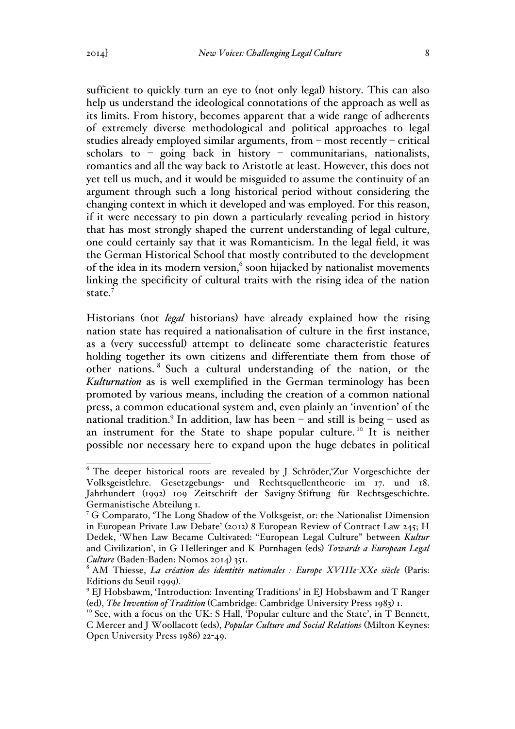sufficient to quickly turn an eye to (not only legal) history. This can also help us understand the ideological connotations of the approach as well as its limits. From history, becomes apparent that a wide range of adherents of extremely diverse methodological and political approaches to legal studies already employed similar arguments, from – most recently – critical scholars to – going back in history – communitarians, nationalists, romantics and all the way back to Aristotle at least. However, this does not yet tell us much, and it would be misguided to assume the continuity of an argument through such a long historical period without considering the changing context in which it developed and was employed. For this reason, if it were necessary to pin down a particularly revealing period in history that has most strongly shaped the current understanding of legal culture, one could certainly say that it was Romanticism. In the legal field, it was the German Historical School that mostly contributed to the development of the idea in its modern version, $6$  soon hijacked by nationalist movements linking the specificity of cultural traits with the rising idea of the nation state.<sup>7</sup>

Historians (not *legal* historians) have already explained how the rising nation state has required a nationalisation of culture in the first instance, as a (very successful) attempt to delineate some characteristic features holding together its own citizens and differentiate them from those of other nations. <sup>8</sup> Such a cultural understanding of the nation, or the *Kulturnation* as is well exemplified in the German terminology has been promoted by various means, including the creation of a common national press, a common educational system and, even plainly an 'invention' of the national tradition.<sup>9</sup> In addition, law has been  $-$  and still is being  $-$  used as an instrument for the State to shape popular culture.<sup>10</sup> It is neither possible nor necessary here to expand upon the huge debates in political

<sup>&</sup>lt;sup>6</sup> The deeper historical roots are revealed by J Schröder,'Zur Vorgeschichte der Volksgeistlehre. Gesetzgebungs- und Rechtsquellentheorie im 17. und 18. Jahrhundert (1992) 109 Zeitschrift der Savigny-Stiftung für Rechtsgeschichte. Germanistische Abteilung 1.

<sup>&</sup>lt;sup>7</sup> G Comparato, 'The Long Shadow of the Volksgeist, or: the Nationalist Dimension in European Private Law Debate' (2012) 8 European Review of Contract Law 245; H Dedek, 'When Law Became Cultivated: "European Legal Culture" between *Kultur* and Civilization', in G Helleringer and K Purnhagen (eds) *Towards a European Legal Culture* (Baden-Baden: Nomos 2014) 351.

<sup>8</sup> AM Thiesse, *La création des identités nationales : Europe XVIIIe-XXe siècle* (Paris: Editions du Seuil 1999).<br><sup>9</sup> EJ Hobsbawm, 'Introduction: Inventing Traditions' in EJ Hobsbawm and T Ranger

<sup>(</sup>ed), *The Invention of Tradition* (Cambridge: Cambridge University Press 1983) 1.<br><sup>10</sup> See, with a focus on the UK: S Hall, 'Popular culture and the State', in T Bennett,

C Mercer and J Woollacott (eds), *Popular Culture and Social Relations* (Milton Keynes: Open University Press 1986) 22-49.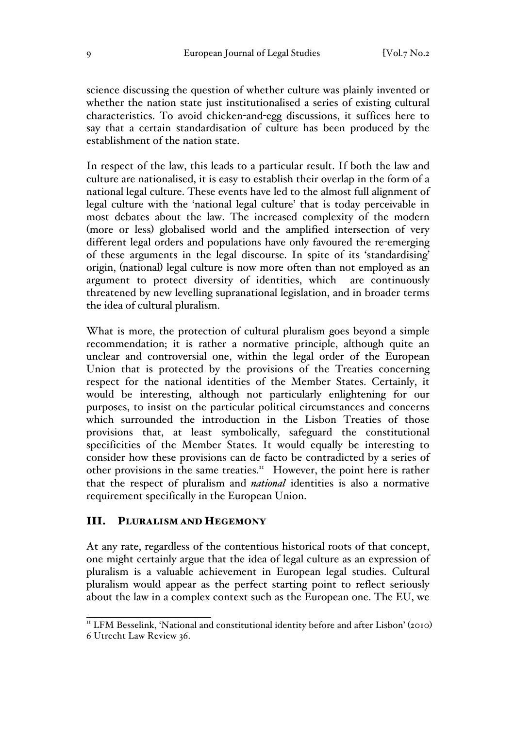science discussing the question of whether culture was plainly invented or whether the nation state just institutionalised a series of existing cultural characteristics. To avoid chicken-and-egg discussions, it suffices here to say that a certain standardisation of culture has been produced by the establishment of the nation state.

In respect of the law, this leads to a particular result. If both the law and culture are nationalised, it is easy to establish their overlap in the form of a national legal culture. These events have led to the almost full alignment of legal culture with the 'national legal culture' that is today perceivable in most debates about the law. The increased complexity of the modern (more or less) globalised world and the amplified intersection of very different legal orders and populations have only favoured the re-emerging of these arguments in the legal discourse. In spite of its 'standardising' origin, (national) legal culture is now more often than not employed as an argument to protect diversity of identities, which are continuously threatened by new levelling supranational legislation, and in broader terms the idea of cultural pluralism.

What is more, the protection of cultural pluralism goes beyond a simple recommendation; it is rather a normative principle, although quite an unclear and controversial one, within the legal order of the European Union that is protected by the provisions of the Treaties concerning respect for the national identities of the Member States. Certainly, it would be interesting, although not particularly enlightening for our purposes, to insist on the particular political circumstances and concerns which surrounded the introduction in the Lisbon Treaties of those provisions that, at least symbolically, safeguard the constitutional specificities of the Member States. It would equally be interesting to consider how these provisions can de facto be contradicted by a series of other provisions in the same treaties.<sup>11</sup> However, the point here is rather that the respect of pluralism and *national* identities is also a normative requirement specifically in the European Union.

#### III. PLURALISM AND HEGEMONY

At any rate, regardless of the contentious historical roots of that concept, one might certainly argue that the idea of legal culture as an expression of pluralism is a valuable achievement in European legal studies. Cultural pluralism would appear as the perfect starting point to reflect seriously about the law in a complex context such as the European one. The EU, we

<sup>&</sup>lt;sup>11</sup> LFM Besselink, 'National and constitutional identity before and after Lisbon' (2010) 6 Utrecht Law Review 36.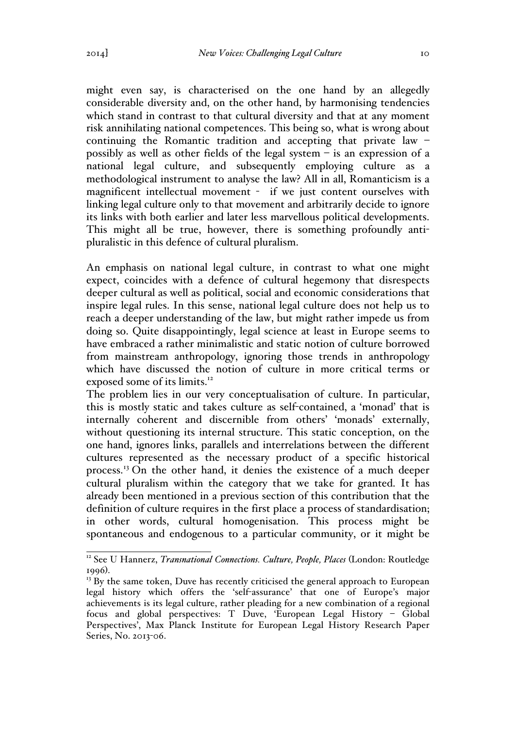might even say, is characterised on the one hand by an allegedly considerable diversity and, on the other hand, by harmonising tendencies which stand in contrast to that cultural diversity and that at any moment risk annihilating national competences. This being so, what is wrong about continuing the Romantic tradition and accepting that private law – possibly as well as other fields of the legal system – is an expression of a national legal culture, and subsequently employing culture as a methodological instrument to analyse the law? All in all, Romanticism is a magnificent intellectual movement - if we just content ourselves with linking legal culture only to that movement and arbitrarily decide to ignore its links with both earlier and later less marvellous political developments. This might all be true, however, there is something profoundly antipluralistic in this defence of cultural pluralism.

An emphasis on national legal culture, in contrast to what one might expect, coincides with a defence of cultural hegemony that disrespects deeper cultural as well as political, social and economic considerations that inspire legal rules. In this sense, national legal culture does not help us to reach a deeper understanding of the law, but might rather impede us from doing so. Quite disappointingly, legal science at least in Europe seems to have embraced a rather minimalistic and static notion of culture borrowed from mainstream anthropology, ignoring those trends in anthropology which have discussed the notion of culture in more critical terms or exposed some of its limits.<sup>12</sup>

The problem lies in our very conceptualisation of culture. In particular, this is mostly static and takes culture as self-contained, a 'monad' that is internally coherent and discernible from others' 'monads' externally, without questioning its internal structure. This static conception, on the one hand, ignores links, parallels and interrelations between the different cultures represented as the necessary product of a specific historical process.<sup>13</sup> On the other hand, it denies the existence of a much deeper cultural pluralism within the category that we take for granted. It has already been mentioned in a previous section of this contribution that the definition of culture requires in the first place a process of standardisation; in other words, cultural homogenisation. This process might be spontaneous and endogenous to a particular community, or it might be

<sup>&</sup>lt;sup>12</sup> See U Hannerz, *Transnational Connections. Culture, People, Places* (London: Routledge 1996).<br><sup>13</sup> By the same token, Duve has recently criticised the general approach to European

legal history which offers the 'self-assurance' that one of Europe's major achievements is its legal culture, rather pleading for a new combination of a regional focus and global perspectives: T Duve, 'European Legal History – Global Perspectives', Max Planck Institute for European Legal History Research Paper Series, No. 2013-06.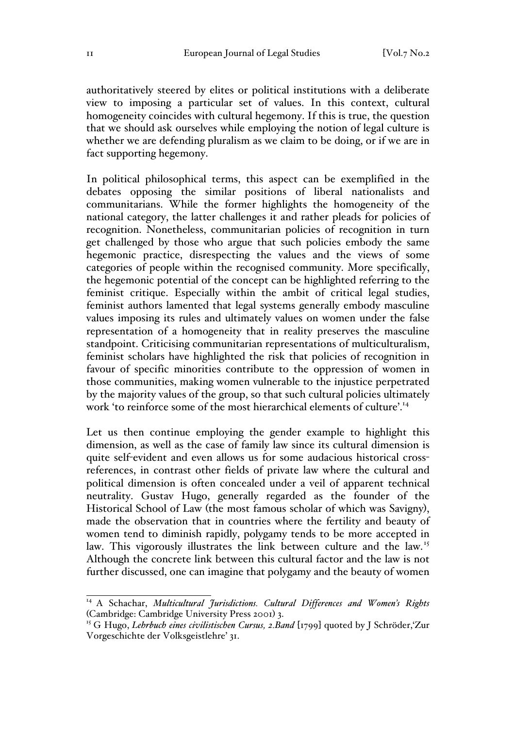authoritatively steered by elites or political institutions with a deliberate view to imposing a particular set of values. In this context, cultural homogeneity coincides with cultural hegemony. If this is true, the question that we should ask ourselves while employing the notion of legal culture is whether we are defending pluralism as we claim to be doing, or if we are in fact supporting hegemony.

In political philosophical terms, this aspect can be exemplified in the debates opposing the similar positions of liberal nationalists and communitarians. While the former highlights the homogeneity of the national category, the latter challenges it and rather pleads for policies of recognition. Nonetheless, communitarian policies of recognition in turn get challenged by those who argue that such policies embody the same hegemonic practice, disrespecting the values and the views of some categories of people within the recognised community. More specifically, the hegemonic potential of the concept can be highlighted referring to the feminist critique. Especially within the ambit of critical legal studies, feminist authors lamented that legal systems generally embody masculine values imposing its rules and ultimately values on women under the false representation of a homogeneity that in reality preserves the masculine standpoint. Criticising communitarian representations of multiculturalism, feminist scholars have highlighted the risk that policies of recognition in favour of specific minorities contribute to the oppression of women in those communities, making women vulnerable to the injustice perpetrated by the majority values of the group, so that such cultural policies ultimately work 'to reinforce some of the most hierarchical elements of culture'.<sup>14</sup>

Let us then continue employing the gender example to highlight this dimension, as well as the case of family law since its cultural dimension is quite self-evident and even allows us for some audacious historical crossreferences, in contrast other fields of private law where the cultural and political dimension is often concealed under a veil of apparent technical neutrality. Gustav Hugo, generally regarded as the founder of the Historical School of Law (the most famous scholar of which was Savigny), made the observation that in countries where the fertility and beauty of women tend to diminish rapidly, polygamy tends to be more accepted in law. This vigorously illustrates the link between culture and the law.<sup>15</sup> Although the concrete link between this cultural factor and the law is not further discussed, one can imagine that polygamy and the beauty of women

<sup>&</sup>lt;sup>14</sup> A Schachar, *Multicultural Jurisdictions. Cultural Differences and Women's Rights* (Cambridge: Cambridge University Press 2001) 3.

<sup>&</sup>lt;sup>15</sup> G Hugo, *Lehrbuch eines civilistischen Cursus, 2.Band* [1799] quoted by J Schröder,'Zur Vorgeschichte der Volksgeistlehre' 31.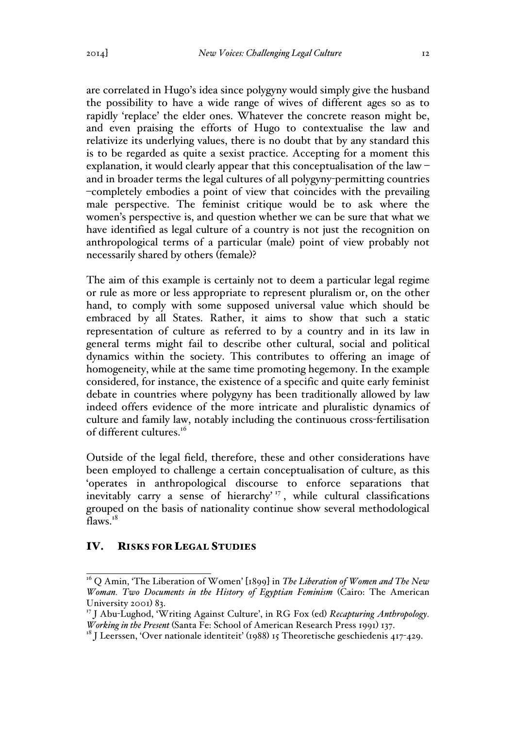are correlated in Hugo's idea since polygyny would simply give the husband the possibility to have a wide range of wives of different ages so as to rapidly 'replace' the elder ones. Whatever the concrete reason might be, and even praising the efforts of Hugo to contextualise the law and relativize its underlying values, there is no doubt that by any standard this is to be regarded as quite a sexist practice. Accepting for a moment this explanation, it would clearly appear that this conceptualisation of the law – and in broader terms the legal cultures of all polygyny-permitting countries –completely embodies a point of view that coincides with the prevailing male perspective. The feminist critique would be to ask where the women's perspective is, and question whether we can be sure that what we have identified as legal culture of a country is not just the recognition on anthropological terms of a particular (male) point of view probably not necessarily shared by others (female)?

The aim of this example is certainly not to deem a particular legal regime or rule as more or less appropriate to represent pluralism or, on the other hand, to comply with some supposed universal value which should be embraced by all States. Rather, it aims to show that such a static representation of culture as referred to by a country and in its law in general terms might fail to describe other cultural, social and political dynamics within the society. This contributes to offering an image of homogeneity, while at the same time promoting hegemony. In the example considered, for instance, the existence of a specific and quite early feminist debate in countries where polygyny has been traditionally allowed by law indeed offers evidence of the more intricate and pluralistic dynamics of culture and family law, notably including the continuous cross-fertilisation of different cultures.16

Outside of the legal field, therefore, these and other considerations have been employed to challenge a certain conceptualisation of culture, as this 'operates in anthropological discourse to enforce separations that inevitably carry a sense of hierarchy<sup>17</sup>, while cultural classifications grouped on the basis of nationality continue show several methodological flaws. $18$ 

# IV. RISKS FOR LEGAL STUDIES

<sup>16</sup> Q Amin, 'The Liberation of Women' [1899] in *The Liberation of Women and The New Woman. Two Documents in the History of Egyptian Feminism* (Cairo: The American University 2001) 83.

<sup>17</sup> J Abu-Lughod, 'Writing Against Culture', in RG Fox (ed) *Recapturing Anthropology. Working in the Present* (Santa Fe: School of American Research Press 1991) 137.

<sup>&</sup>lt;sup>18</sup> J Leerssen, 'Over nationale identiteit' (1988) 15 Theoretische geschiedenis 417-429.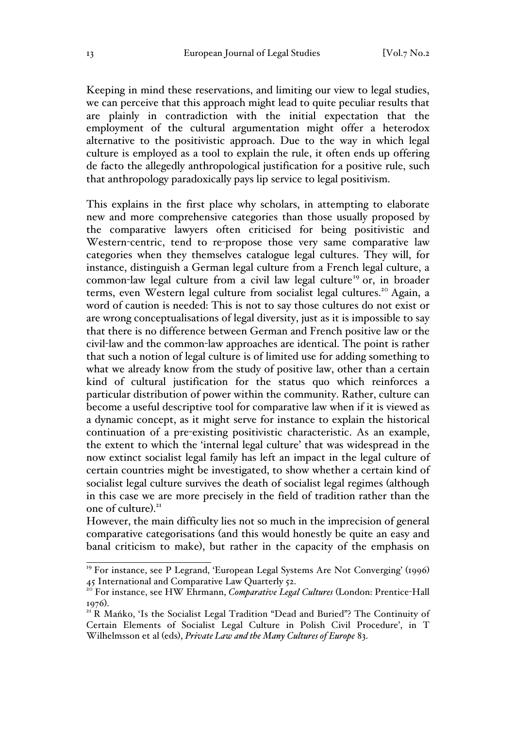Keeping in mind these reservations, and limiting our view to legal studies, we can perceive that this approach might lead to quite peculiar results that are plainly in contradiction with the initial expectation that the employment of the cultural argumentation might offer a heterodox alternative to the positivistic approach. Due to the way in which legal culture is employed as a tool to explain the rule, it often ends up offering de facto the allegedly anthropological justification for a positive rule, such that anthropology paradoxically pays lip service to legal positivism.

This explains in the first place why scholars, in attempting to elaborate new and more comprehensive categories than those usually proposed by the comparative lawyers often criticised for being positivistic and Western-centric, tend to re-propose those very same comparative law categories when they themselves catalogue legal cultures. They will, for instance, distinguish a German legal culture from a French legal culture, a common-law legal culture from a civil law legal culture<sup>19</sup> or, in broader terms, even Western legal culture from socialist legal cultures.<sup>20</sup> Again, a word of caution is needed: This is not to say those cultures do not exist or are wrong conceptualisations of legal diversity, just as it is impossible to say that there is no difference between German and French positive law or the civil-law and the common-law approaches are identical. The point is rather that such a notion of legal culture is of limited use for adding something to what we already know from the study of positive law, other than a certain kind of cultural justification for the status quo which reinforces a particular distribution of power within the community. Rather, culture can become a useful descriptive tool for comparative law when if it is viewed as a dynamic concept, as it might serve for instance to explain the historical continuation of a pre-existing positivistic characteristic. As an example, the extent to which the 'internal legal culture' that was widespread in the now extinct socialist legal family has left an impact in the legal culture of certain countries might be investigated, to show whether a certain kind of socialist legal culture survives the death of socialist legal regimes (although in this case we are more precisely in the field of tradition rather than the one of culture). 21

However, the main difficulty lies not so much in the imprecision of general comparative categorisations (and this would honestly be quite an easy and banal criticism to make), but rather in the capacity of the emphasis on

<sup>&</sup>lt;sup>19</sup> For instance, see P Legrand, 'European Legal Systems Are Not Converging' (1996)  $45$  International and Comparative Law Quarterly 52.

<sup>&</sup>lt;sup>20</sup> For instance, see HW Ehrmann, *Comparative Legal Cultures* (London: Prentice-Hall <sup>1976</sup>). <sup>21</sup> R Mańko, 'Is the Socialist Legal Tradition "Dead and Buried"? The Continuity of

Certain Elements of Socialist Legal Culture in Polish Civil Procedure', in T Wilhelmsson et al (eds), *Private Law and the Many Cultures of Europe* 83.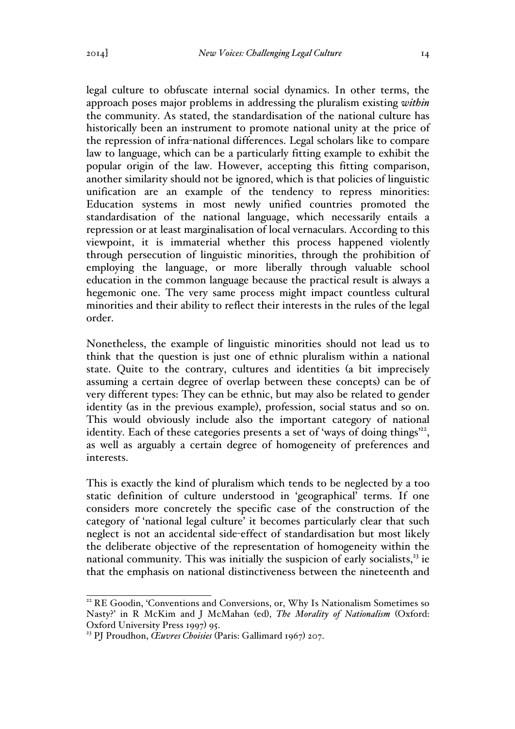legal culture to obfuscate internal social dynamics. In other terms, the approach poses major problems in addressing the pluralism existing *within* the community. As stated, the standardisation of the national culture has historically been an instrument to promote national unity at the price of the repression of infra-national differences. Legal scholars like to compare law to language, which can be a particularly fitting example to exhibit the popular origin of the law. However, accepting this fitting comparison, another similarity should not be ignored, which is that policies of linguistic unification are an example of the tendency to repress minorities: Education systems in most newly unified countries promoted the standardisation of the national language, which necessarily entails a repression or at least marginalisation of local vernaculars. According to this viewpoint, it is immaterial whether this process happened violently through persecution of linguistic minorities, through the prohibition of employing the language, or more liberally through valuable school education in the common language because the practical result is always a hegemonic one. The very same process might impact countless cultural minorities and their ability to reflect their interests in the rules of the legal order.

Nonetheless, the example of linguistic minorities should not lead us to think that the question is just one of ethnic pluralism within a national state. Quite to the contrary, cultures and identities (a bit imprecisely assuming a certain degree of overlap between these concepts) can be of very different types: They can be ethnic, but may also be related to gender identity (as in the previous example), profession, social status and so on. This would obviously include also the important category of national identity. Each of these categories presents a set of 'ways of doing things $^{22}$ , as well as arguably a certain degree of homogeneity of preferences and interests.

This is exactly the kind of pluralism which tends to be neglected by a too static definition of culture understood in 'geographical' terms. If one considers more concretely the specific case of the construction of the category of 'national legal culture' it becomes particularly clear that such neglect is not an accidental side-effect of standardisation but most likely the deliberate objective of the representation of homogeneity within the national community. This was initially the suspicion of early socialists, $2<sup>3</sup>$  ie that the emphasis on national distinctiveness between the nineteenth and

<sup>&</sup>lt;sup>22</sup> RE Goodin, 'Conventions and Conversions, or, Why Is Nationalism Sometimes so Nasty?' in R McKim and J McMahan (ed), *The Morality of Nationalism* (Oxford: Oxford University Press 1997) 95.

<sup>23</sup> PJ Proudhon, *Œuvres Choisies* (Paris: Gallimard 1967) 207.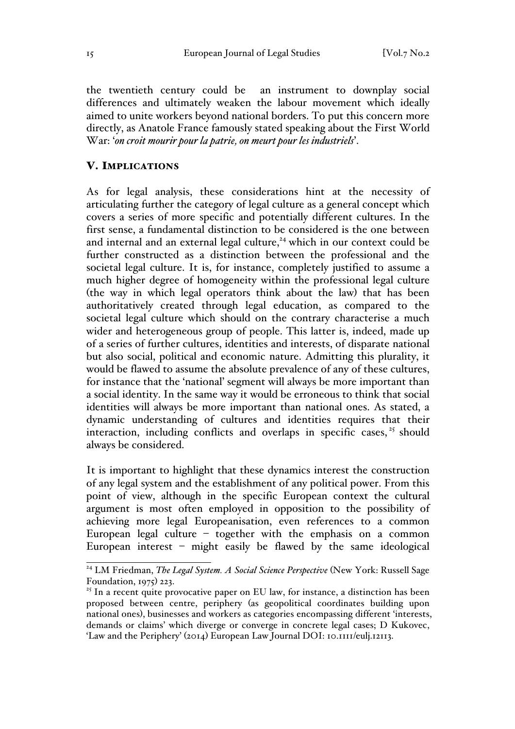the twentieth century could be an instrument to downplay social differences and ultimately weaken the labour movement which ideally aimed to unite workers beyond national borders. To put this concern more directly, as Anatole France famously stated speaking about the First World War: '*on croit mourir pour la patrie, on meurt pour les industriels*'.

### V. IMPLICATIONS

As for legal analysis, these considerations hint at the necessity of articulating further the category of legal culture as a general concept which covers a series of more specific and potentially different cultures. In the first sense, a fundamental distinction to be considered is the one between and internal and an external legal culture,<sup>24</sup> which in our context could be further constructed as a distinction between the professional and the societal legal culture. It is, for instance, completely justified to assume a much higher degree of homogeneity within the professional legal culture (the way in which legal operators think about the law) that has been authoritatively created through legal education, as compared to the societal legal culture which should on the contrary characterise a much wider and heterogeneous group of people. This latter is, indeed, made up of a series of further cultures, identities and interests, of disparate national but also social, political and economic nature. Admitting this plurality, it would be flawed to assume the absolute prevalence of any of these cultures, for instance that the 'national' segment will always be more important than a social identity. In the same way it would be erroneous to think that social identities will always be more important than national ones. As stated, a dynamic understanding of cultures and identities requires that their interaction, including conflicts and overlaps in specific cases,  $25$  should always be considered.

It is important to highlight that these dynamics interest the construction of any legal system and the establishment of any political power. From this point of view, although in the specific European context the cultural argument is most often employed in opposition to the possibility of achieving more legal Europeanisation, even references to a common European legal culture – together with the emphasis on a common European interest – might easily be flawed by the same ideological

<sup>&</sup>lt;sup>24</sup> LM Friedman, *The Legal System. A Social Science Perspective* (New York: Russell Sage Foundation, 1975) 223.

 $25$  In a recent quite provocative paper on EU law, for instance, a distinction has been proposed between centre, periphery (as geopolitical coordinates building upon national ones), businesses and workers as categories encompassing different 'interests, demands or claims' which diverge or converge in concrete legal cases; D Kukovec, 'Law and the Periphery' (2014) European Law Journal DOI: 10.1111/eulj.12113.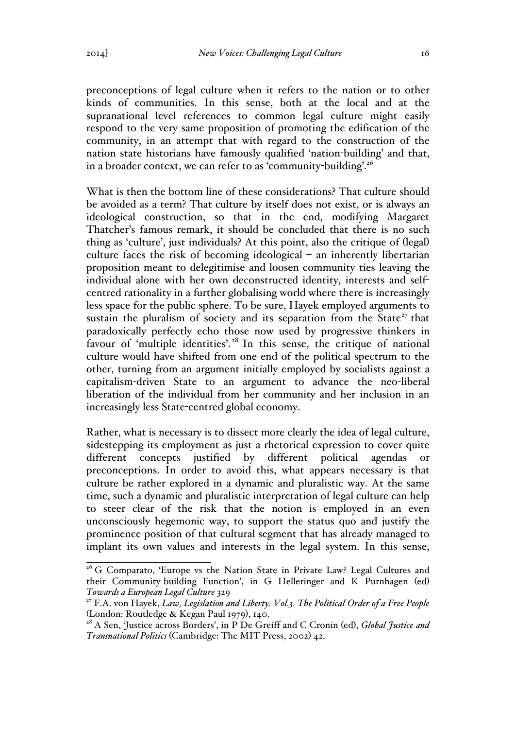preconceptions of legal culture when it refers to the nation or to other kinds of communities. In this sense, both at the local and at the supranational level references to common legal culture might easily respond to the very same proposition of promoting the edification of the community, in an attempt that with regard to the construction of the nation state historians have famously qualified 'nation-building' and that, in a broader context, we can refer to as 'community-building'.<sup>26</sup>

What is then the bottom line of these considerations? That culture should be avoided as a term? That culture by itself does not exist, or is always an ideological construction, so that in the end, modifying Margaret Thatcher's famous remark, it should be concluded that there is no such thing as 'culture', just individuals? At this point, also the critique of (legal) culture faces the risk of becoming ideological  $-$  an inherently libertarian proposition meant to delegitimise and loosen community ties leaving the individual alone with her own deconstructed identity, interests and selfcentred rationality in a further globalising world where there is increasingly less space for the public sphere. To be sure, Hayek employed arguments to sustain the pluralism of society and its separation from the State<sup>27</sup> that paradoxically perfectly echo those now used by progressive thinkers in favour of 'multiple identities'. <sup>28</sup> In this sense, the critique of national culture would have shifted from one end of the political spectrum to the other, turning from an argument initially employed by socialists against a capitalism-driven State to an argument to advance the neo-liberal liberation of the individual from her community and her inclusion in an increasingly less State-centred global economy.

Rather, what is necessary is to dissect more clearly the idea of legal culture, sidestepping its employment as just a rhetorical expression to cover quite different concepts justified by different political agendas or preconceptions. In order to avoid this, what appears necessary is that culture be rather explored in a dynamic and pluralistic way. At the same time, such a dynamic and pluralistic interpretation of legal culture can help to steer clear of the risk that the notion is employed in an even unconsciously hegemonic way, to support the status quo and justify the prominence position of that cultural segment that has already managed to implant its own values and interests in the legal system. In this sense,

<sup>&</sup>lt;sup>26</sup> G Comparato, 'Europe vs the Nation State in Private Law? Legal Cultures and their Community-building Function', in G Helleringer and K Purnhagen (ed) *Towards a European Legal Culture* 329

<sup>27</sup> F.A. von Hayek, *Law, Legislation and Liberty. Vol.3. The Political Order of a Free People*  (London: Routledge & Kegan Paul 1979), 140.

<sup>&</sup>lt;sup>28</sup> A Sen, 'Justice across Borders', in P De Greiff and C Cronin (ed), *Global Justice and Transnational Politics* (Cambridge: The MIT Press, 2002) 42.